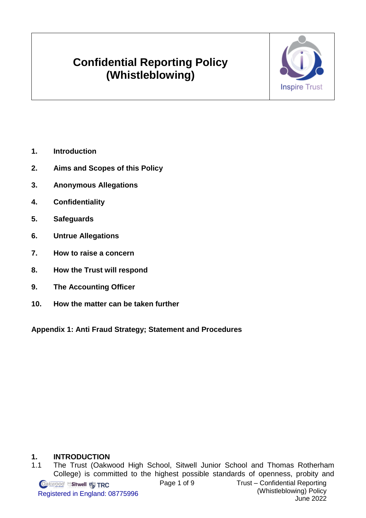# **Confidential Reporting Policy (Whistleblowing)**



- **1. [Introduction](#page-0-0)**
- **2. [Aims and Scopes of this Policy](#page-1-0)**
- **3. [Anonymous Allegations](#page-2-0)**
- **4. [Confidentiality](#page-2-1)**
- **5. [Safeguards](#page-2-2)**
- **6. [Untrue Allegations](#page-3-0)**
- **7. [How to raise a concern](#page-3-1)**
- **8. [How the Trust](#page-4-0) will respond**
- **9. [The Accounting Officer](#page-6-0)**
- **10. [How the matter can be taken further](#page-5-0)**

**Appendix 1: Anti Fraud Strategy; [Statement and Procedures](#page-7-0)** 

# <span id="page-0-0"></span>**1. INTRODUCTION**

1.1 The Trust (Oakwood High School, Sitwell Junior School and Thomas Rotherham College) is committed to the highest possible standards of openness, probity and Page 1 of 9 Trust – Confidential Reporting **Oakwood Sitwell Pa TRC** (Whistleblowing) Policy Registered in England: 08775996 June 2022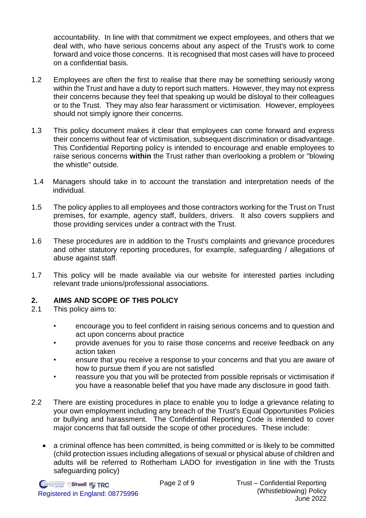accountability. In line with that commitment we expect employees, and others that we deal with, who have serious concerns about any aspect of the Trust's work to come forward and voice those concerns. It is recognised that most cases will have to proceed on a confidential basis.

- 1.2 Employees are often the first to realise that there may be something seriously wrong within the Trust and have a duty to report such matters. However, they may not express their concerns because they feel that speaking up would be disloyal to their colleagues or to the Trust. They may also fear harassment or victimisation. However, employees should not simply ignore their concerns.
- 1.3 This policy document makes it clear that employees can come forward and express their concerns without fear of victimisation, subsequent discrimination or disadvantage. This Confidential Reporting policy is intended to encourage and enable employees to raise serious concerns **within** the Trust rather than overlooking a problem or "blowing the whistle" outside.
- 1.4 Managers should take in to account the translation and interpretation needs of the individual.
- 1.5 The policy applies to all employees and those contractors working for the Trust on Trust premises, for example, agency staff, builders, drivers. It also covers suppliers and those providing services under a contract with the Trust.
- 1.6 These procedures are in addition to the Trust's complaints and grievance procedures and other statutory reporting procedures, for example, safeguarding / allegations of abuse against staff.
- 1.7 This policy will be made available via our website for interested parties including relevant trade unions/professional associations.

# <span id="page-1-0"></span>**2. AIMS AND SCOPE OF THIS POLICY**

- 2.1 This policy aims to:
	- encourage you to feel confident in raising serious concerns and to question and act upon concerns about practice
	- provide avenues for you to raise those concerns and receive feedback on any action taken
	- ensure that you receive a response to your concerns and that you are aware of how to pursue them if you are not satisfied
	- reassure you that you will be protected from possible reprisals or victimisation if you have a reasonable belief that you have made any disclosure in good faith.
- 2.2 There are existing procedures in place to enable you to lodge a grievance relating to your own employment including any breach of the Trust's Equal Opportunities Policies or bullying and harassment. The Confidential Reporting Code is intended to cover major concerns that fall outside the scope of other procedures. These include:
	- a criminal offence has been committed, is being committed or is likely to be committed (child protection issues including allegations of sexual or physical abuse of children and adults will be referred to Rotherham LADO for investigation in line with the Trusts safeguarding policy)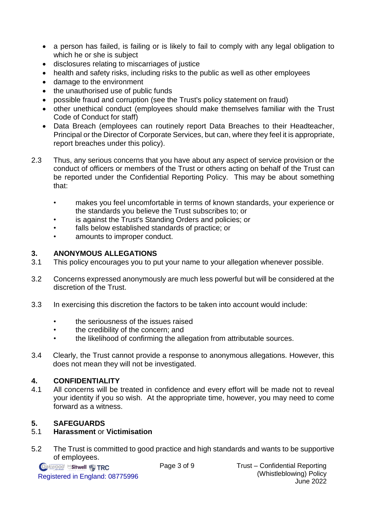- a person has failed, is failing or is likely to fail to comply with any legal obligation to which he or she is subject
- disclosures relating to miscarriages of justice
- health and safety risks, including risks to the public as well as other employees
- damage to the environment
- the unauthorised use of public funds
- possible fraud and corruption (see the Trust's policy statement on fraud)
- other unethical conduct (employees should make themselves familiar with the Trust Code of Conduct for staff)
- Data Breach (employees can routinely report Data Breaches to their Headteacher, Principal or the Director of Corporate Services, but can, where they feel it is appropriate, report breaches under this policy).
- 2.3 Thus, any serious concerns that you have about any aspect of service provision or the conduct of officers or members of the Trust or others acting on behalf of the Trust can be reported under the Confidential Reporting Policy. This may be about something that:
	- makes you feel uncomfortable in terms of known standards, your experience or the standards you believe the Trust subscribes to; or
	- is against the Trust's Standing Orders and policies; or
	- falls below established standards of practice; or
	- amounts to improper conduct.

# <span id="page-2-0"></span>**3. ANONYMOUS ALLEGATIONS**

- 3.1 This policy encourages you to put your name to your allegation whenever possible.
- 3.2 Concerns expressed anonymously are much less powerful but will be considered at the discretion of the Trust.
- 3.3 In exercising this discretion the factors to be taken into account would include:
	- the seriousness of the issues raised
	- the credibility of the concern; and
	- the likelihood of confirming the allegation from attributable sources.
- 3.4 Clearly, the Trust cannot provide a response to anonymous allegations. However, this does not mean they will not be investigated.

# <span id="page-2-1"></span>**4. CONFIDENTIALITY**

4.1 All concerns will be treated in confidence and every effort will be made not to reveal your identity if you so wish. At the appropriate time, however, you may need to come forward as a witness.

# <span id="page-2-2"></span>**5. SAFEGUARDS**

# 5.1 **Harassment** or **Victimisation**

5.2 The Trust is committed to good practice and high standards and wants to be supportive of employees.

**Oakwood Sitwell P. TRC** Registered in England: 08775996

Page 3 of 9 Trust – Confidential Reporting (Whistleblowing) Policy June 2022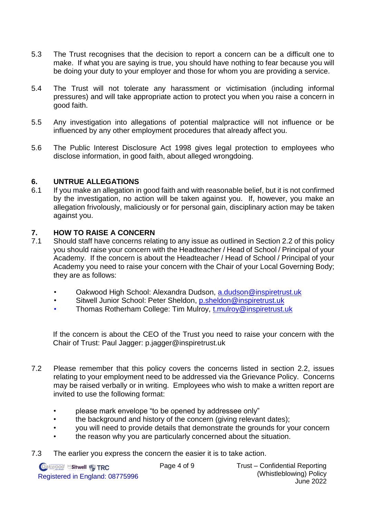- 5.3 The Trust recognises that the decision to report a concern can be a difficult one to make. If what you are saying is true, you should have nothing to fear because you will be doing your duty to your employer and those for whom you are providing a service.
- 5.4 The Trust will not tolerate any harassment or victimisation (including informal pressures) and will take appropriate action to protect you when you raise a concern in good faith.
- 5.5 Any investigation into allegations of potential malpractice will not influence or be influenced by any other employment procedures that already affect you.
- 5.6 The Public Interest Disclosure Act 1998 gives legal protection to employees who disclose information, in good faith, about alleged wrongdoing.

#### <span id="page-3-0"></span>**6. UNTRUE ALLEGATIONS**

6.1 If you make an allegation in good faith and with reasonable belief, but it is not confirmed by the investigation, no action will be taken against you. If, however, you make an allegation frivolously, maliciously or for personal gain, disciplinary action may be taken against you.

#### <span id="page-3-1"></span>**7. HOW TO RAISE A CONCERN**

- 7.1 Should staff have concerns relating to any issue as outlined in Section 2.2 of this policy you should raise your concern with the Headteacher / Head of School / Principal of your Academy. If the concern is about the Headteacher / Head of School / Principal of your Academy you need to raise your concern with the Chair of your Local Governing Body; they are as follows:
	- Oakwood High School: Alexandra Dudson, a.dudson@inspiretrust.uk
	- Sitwell Junior School: Peter Sheldon, [p.sheldon@inspiretrust.uk](mailto:p.sheldon@inspiretrust.uk)
	- Thomas Rotherham College: Tim Mulroy, t.mulroy@inspiretrust.uk

If the concern is about the CEO of the Trust you need to raise your concern with the Chair of Trust: Paul Jagger: p.jagger@inspiretrust.uk

- 7.2 Please remember that this policy covers the concerns listed in section 2.2, issues relating to your employment need to be addressed via the Grievance Policy. Concerns may be raised verbally or in writing. Employees who wish to make a written report are invited to use the following format:
	- please mark envelope "to be opened by addressee only"
	- the background and history of the concern (giving relevant dates);
	- you will need to provide details that demonstrate the grounds for your concern
	- the reason why you are particularly concerned about the situation.
- 7.3 The earlier you express the concern the easier it is to take action.

**Oakwood Sitwell W TRC** Registered in England: 08775996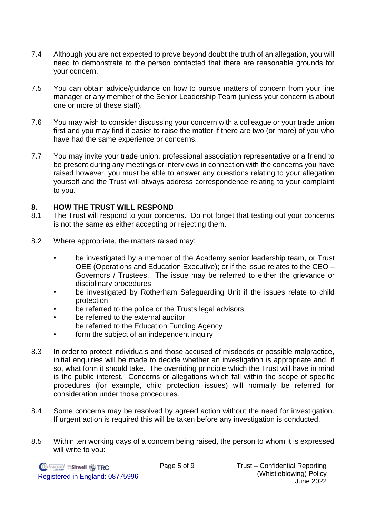- 7.4 Although you are not expected to prove beyond doubt the truth of an allegation, you will need to demonstrate to the person contacted that there are reasonable grounds for your concern.
- 7.5 You can obtain advice/guidance on how to pursue matters of concern from your line manager or any member of the Senior Leadership Team (unless your concern is about one or more of these staff).
- 7.6 You may wish to consider discussing your concern with a colleague or your trade union first and you may find it easier to raise the matter if there are two (or more) of you who have had the same experience or concerns.
- 7.7 You may invite your trade union, professional association representative or a friend to be present during any meetings or interviews in connection with the concerns you have raised however, you must be able to answer any questions relating to your allegation yourself and the Trust will always address correspondence relating to your complaint to you.

#### <span id="page-4-0"></span>**8. HOW THE TRUST WILL RESPOND**

- 8.1 The Trust will respond to your concerns. Do not forget that testing out your concerns is not the same as either accepting or rejecting them.
- 8.2 Where appropriate, the matters raised may:
	- be investigated by a member of the Academy senior leadership team, or Trust OEE (Operations and Education Executive); or if the issue relates to the CEO – Governors / Trustees. The issue may be referred to either the grievance or disciplinary procedures
	- be investigated by Rotherham Safeguarding Unit if the issues relate to child protection
	- be referred to the police or the Trusts legal advisors
	- be referred to the external auditor be referred to the Education Funding Agency
	- form the subject of an independent inquiry
- 8.3 In order to protect individuals and those accused of misdeeds or possible malpractice, initial enquiries will be made to decide whether an investigation is appropriate and, if so, what form it should take. The overriding principle which the Trust will have in mind is the public interest. Concerns or allegations which fall within the scope of specific procedures (for example, child protection issues) will normally be referred for consideration under those procedures.
- 8.4 Some concerns may be resolved by agreed action without the need for investigation. If urgent action is required this will be taken before any investigation is conducted.
- 8.5 Within ten working days of a concern being raised, the person to whom it is expressed will write to you: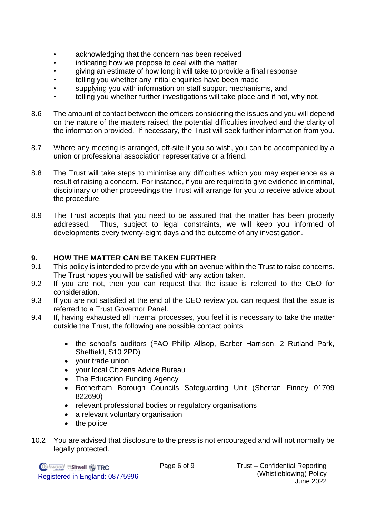- acknowledging that the concern has been received
- indicating how we propose to deal with the matter
- giving an estimate of how long it will take to provide a final response
- telling you whether any initial enquiries have been made
- supplying you with information on staff support mechanisms, and
- telling you whether further investigations will take place and if not, why not.
- 8.6 The amount of contact between the officers considering the issues and you will depend on the nature of the matters raised, the potential difficulties involved and the clarity of the information provided. If necessary, the Trust will seek further information from you.
- 8.7 Where any meeting is arranged, off-site if you so wish, you can be accompanied by a union or professional association representative or a friend.
- 8.8 The Trust will take steps to minimise any difficulties which you may experience as a result of raising a concern. For instance, if you are required to give evidence in criminal, disciplinary or other proceedings the Trust will arrange for you to receive advice about the procedure.
- 8.9 The Trust accepts that you need to be assured that the matter has been properly addressed. Thus, subject to legal constraints, we will keep you informed of developments every twenty-eight days and the outcome of any investigation.

# <span id="page-5-0"></span>**9. HOW THE MATTER CAN BE TAKEN FURTHER**

- 9.1 This policy is intended to provide you with an avenue within the Trust to raise concerns. The Trust hopes you will be satisfied with any action taken.
- 9.2 If you are not, then you can request that the issue is referred to the CEO for consideration.
- 9.3 If you are not satisfied at the end of the CEO review you can request that the issue is referred to a Trust Governor Panel.
- 9.4 If, having exhausted all internal processes, you feel it is necessary to take the matter outside the Trust, the following are possible contact points:
	- the school's auditors (FAO Philip Allsop, Barber Harrison, 2 Rutland Park, Sheffield, S10 2PD)
	- your trade union
	- your local Citizens Advice Bureau
	- The Education Funding Agency
	- Rotherham Borough Councils Safeguarding Unit (Sherran Finney 01709 822690)
	- relevant professional bodies or regulatory organisations
	- a relevant voluntary organisation
	- the police
- 10.2 You are advised that disclosure to the press is not encouraged and will not normally be legally protected.

**Oakwood Sitwell W TRC** Registered in England: 08775996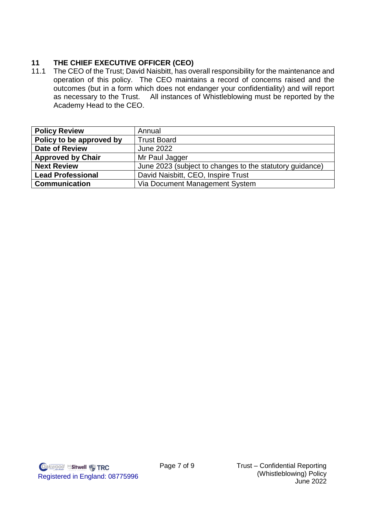# <span id="page-6-0"></span>**11 THE CHIEF EXECUTIVE OFFICER (CEO)**

11.1 The CEO of the Trust; David Naisbitt, has overall responsibility for the maintenance and operation of this policy. The CEO maintains a record of concerns raised and the outcomes (but in a form which does not endanger your confidentiality) and will report as necessary to the Trust. All instances of Whistleblowing must be reported by the Academy Head to the CEO.

| <b>Policy Review</b>     | Annual                                                   |
|--------------------------|----------------------------------------------------------|
| Policy to be approved by | <b>Trust Board</b>                                       |
| Date of Review           | <b>June 2022</b>                                         |
| <b>Approved by Chair</b> | Mr Paul Jagger                                           |
| <b>Next Review</b>       | June 2023 (subject to changes to the statutory guidance) |
| <b>Lead Professional</b> | David Naisbitt, CEO, Inspire Trust                       |
| <b>Communication</b>     | Via Document Management System                           |

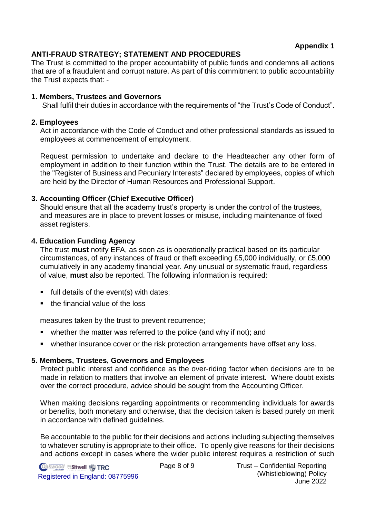**Appendix 1**

# <span id="page-7-0"></span>**ANTI-FRAUD STRATEGY; STATEMENT AND PROCEDURES**

The Trust is committed to the proper accountability of public funds and condemns all actions that are of a fraudulent and corrupt nature. As part of this commitment to public accountability the Trust expects that: -

#### **1. Members, Trustees and Governors**

Shall fulfil their duties in accordance with the requirements of "the Trust's Code of Conduct".

#### **2. Employees**

Act in accordance with the Code of Conduct and other professional standards as issued to employees at commencement of employment.

Request permission to undertake and declare to the Headteacher any other form of employment in addition to their function within the Trust. The details are to be entered in the "Register of Business and Pecuniary Interests" declared by employees, copies of which are held by the Director of Human Resources and Professional Support.

# **3. Accounting Officer (Chief Executive Officer)**

Should ensure that all the academy trust's property is under the control of the trustees, and measures are in place to prevent losses or misuse, including maintenance of fixed asset registers.

#### **4. Education Funding Agency**

The trust **must** notify EFA, as soon as is operationally practical based on its particular circumstances, of any instances of fraud or theft exceeding £5,000 individually, or £5,000 cumulatively in any academy financial year. Any unusual or systematic fraud, regardless of value, **must** also be reported. The following information is required:

- $\blacksquare$  full details of the event(s) with dates;
- the financial value of the loss

measures taken by the trust to prevent recurrence;

- whether the matter was referred to the police (and why if not); and
- whether insurance cover or the risk protection arrangements have offset any loss.

# **5. Members, Trustees, Governors and Employees**

Protect public interest and confidence as the over-riding factor when decisions are to be made in relation to matters that involve an element of private interest. Where doubt exists over the correct procedure, advice should be sought from the Accounting Officer.

When making decisions regarding appointments or recommending individuals for awards or benefits, both monetary and otherwise, that the decision taken is based purely on merit in accordance with defined guidelines.

Be accountable to the public for their decisions and actions including subjecting themselves to whatever scrutiny is appropriate to their office. To openly give reasons for their decisions and actions except in cases where the wider public interest requires a restriction of such